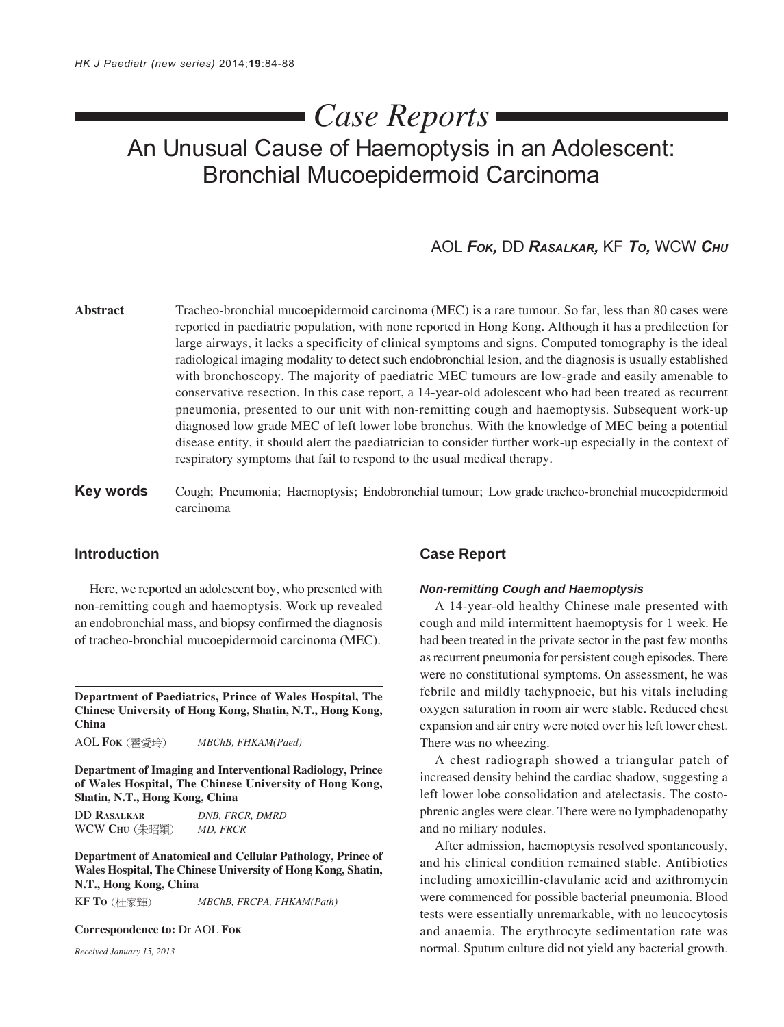# *Case Reports*

## An Unusual Cause of Haemoptysis in an Adolescent: Bronchial Mucoepidermoid Carcinoma

## AOL *FOK,* DD *RASALKAR,* KF *TO,* WCW *CHU*

- **Abstract** Tracheo-bronchial mucoepidermoid carcinoma (MEC) is a rare tumour. So far, less than 80 cases were reported in paediatric population, with none reported in Hong Kong. Although it has a predilection for large airways, it lacks a specificity of clinical symptoms and signs. Computed tomography is the ideal radiological imaging modality to detect such endobronchial lesion, and the diagnosis is usually established with bronchoscopy. The majority of paediatric MEC tumours are low-grade and easily amenable to conservative resection. In this case report, a 14-year-old adolescent who had been treated as recurrent pneumonia, presented to our unit with non-remitting cough and haemoptysis. Subsequent work-up diagnosed low grade MEC of left lower lobe bronchus. With the knowledge of MEC being a potential disease entity, it should alert the paediatrician to consider further work-up especially in the context of respiratory symptoms that fail to respond to the usual medical therapy.
- **Key words** Cough; Pneumonia; Haemoptysis; Endobronchial tumour; Low grade tracheo-bronchial mucoepidermoid carcinoma

## **Introduction**

Here, we reported an adolescent boy, who presented with non-remitting cough and haemoptysis. Work up revealed an endobronchial mass, and biopsy confirmed the diagnosis of tracheo-bronchial mucoepidermoid carcinoma (MEC).

**Department of Paediatrics, Prince of Wales Hospital, The Chinese University of Hong Kong, Shatin, N.T., Hong Kong, China**

AOL **FOK** *MBChB, FHKAM(Paed)*

**Department of Imaging and Interventional Radiology, Prince of Wales Hospital, The Chinese University of Hong Kong, Shatin, N.T., Hong Kong, China**

DD **RASALKAR** *DNB, FRCR, DMRD* WCW **CHU** *MD, FRCR*

**Department of Anatomical and Cellular Pathology, Prince of Wales Hospital, The Chinese University of Hong Kong, Shatin, N.T., Hong Kong, China**

KF **TO** *MBChB, FRCPA, FHKAM(Path)*

**Correspondence to:** Dr AOL **FOK**

*Received January 15, 2013*

#### **Case Report**

#### *Non-remitting Cough and Haemoptysis*

A 14-year-old healthy Chinese male presented with cough and mild intermittent haemoptysis for 1 week. He had been treated in the private sector in the past few months as recurrent pneumonia for persistent cough episodes. There were no constitutional symptoms. On assessment, he was febrile and mildly tachypnoeic, but his vitals including oxygen saturation in room air were stable. Reduced chest expansion and air entry were noted over his left lower chest. There was no wheezing.

A chest radiograph showed a triangular patch of increased density behind the cardiac shadow, suggesting a left lower lobe consolidation and atelectasis. The costophrenic angles were clear. There were no lymphadenopathy and no miliary nodules.

After admission, haemoptysis resolved spontaneously, and his clinical condition remained stable. Antibiotics including amoxicillin-clavulanic acid and azithromycin were commenced for possible bacterial pneumonia. Blood tests were essentially unremarkable, with no leucocytosis and anaemia. The erythrocyte sedimentation rate was normal. Sputum culture did not yield any bacterial growth.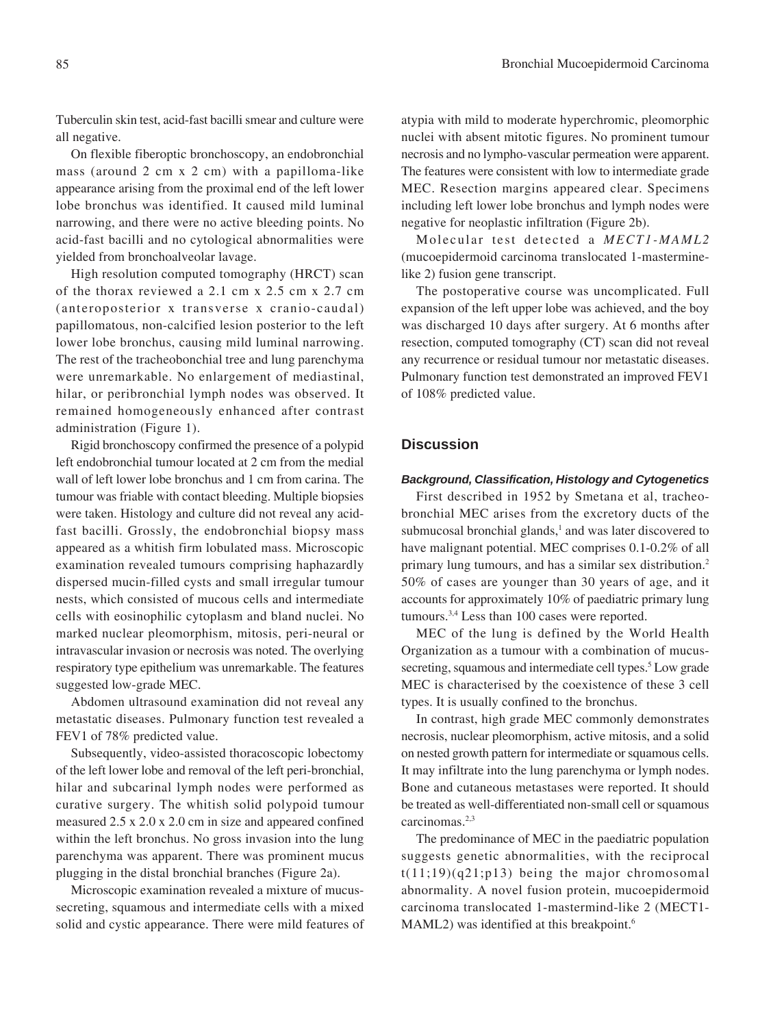Tuberculin skin test, acid-fast bacilli smear and culture were all negative.

On flexible fiberoptic bronchoscopy, an endobronchial mass (around 2 cm x 2 cm) with a papilloma-like appearance arising from the proximal end of the left lower lobe bronchus was identified. It caused mild luminal narrowing, and there were no active bleeding points. No acid-fast bacilli and no cytological abnormalities were yielded from bronchoalveolar lavage.

High resolution computed tomography (HRCT) scan of the thorax reviewed a 2.1 cm x 2.5 cm x 2.7 cm (anteroposterior x transverse x cranio-caudal) papillomatous, non-calcified lesion posterior to the left lower lobe bronchus, causing mild luminal narrowing. The rest of the tracheobonchial tree and lung parenchyma were unremarkable. No enlargement of mediastinal, hilar, or peribronchial lymph nodes was observed. It remained homogeneously enhanced after contrast administration (Figure 1).

Rigid bronchoscopy confirmed the presence of a polypid left endobronchial tumour located at 2 cm from the medial wall of left lower lobe bronchus and 1 cm from carina. The tumour was friable with contact bleeding. Multiple biopsies were taken. Histology and culture did not reveal any acidfast bacilli. Grossly, the endobronchial biopsy mass appeared as a whitish firm lobulated mass. Microscopic examination revealed tumours comprising haphazardly dispersed mucin-filled cysts and small irregular tumour nests, which consisted of mucous cells and intermediate cells with eosinophilic cytoplasm and bland nuclei. No marked nuclear pleomorphism, mitosis, peri-neural or intravascular invasion or necrosis was noted. The overlying respiratory type epithelium was unremarkable. The features suggested low-grade MEC.

Abdomen ultrasound examination did not reveal any metastatic diseases. Pulmonary function test revealed a FEV1 of 78% predicted value.

Subsequently, video-assisted thoracoscopic lobectomy of the left lower lobe and removal of the left peri-bronchial, hilar and subcarinal lymph nodes were performed as curative surgery. The whitish solid polypoid tumour measured 2.5 x 2.0 x 2.0 cm in size and appeared confined within the left bronchus. No gross invasion into the lung parenchyma was apparent. There was prominent mucus plugging in the distal bronchial branches (Figure 2a).

Microscopic examination revealed a mixture of mucussecreting, squamous and intermediate cells with a mixed solid and cystic appearance. There were mild features of

atypia with mild to moderate hyperchromic, pleomorphic nuclei with absent mitotic figures. No prominent tumour necrosis and no lympho-vascular permeation were apparent. The features were consistent with low to intermediate grade MEC. Resection margins appeared clear. Specimens including left lower lobe bronchus and lymph nodes were negative for neoplastic infiltration (Figure 2b).

Molecular test detected a *MECT1-MAML2* (mucoepidermoid carcinoma translocated 1-masterminelike 2) fusion gene transcript.

The postoperative course was uncomplicated. Full expansion of the left upper lobe was achieved, and the boy was discharged 10 days after surgery. At 6 months after resection, computed tomography (CT) scan did not reveal any recurrence or residual tumour nor metastatic diseases. Pulmonary function test demonstrated an improved FEV1 of 108% predicted value.

## **Discussion**

#### *Background, Classification, Histology and Cytogenetics*

First described in 1952 by Smetana et al, tracheobronchial MEC arises from the excretory ducts of the submucosal bronchial glands,<sup>1</sup> and was later discovered to have malignant potential. MEC comprises 0.1-0.2% of all primary lung tumours, and has a similar sex distribution.2 50% of cases are younger than 30 years of age, and it accounts for approximately 10% of paediatric primary lung tumours.3,4 Less than 100 cases were reported.

MEC of the lung is defined by the World Health Organization as a tumour with a combination of mucussecreting, squamous and intermediate cell types.<sup>5</sup> Low grade MEC is characterised by the coexistence of these 3 cell types. It is usually confined to the bronchus.

In contrast, high grade MEC commonly demonstrates necrosis, nuclear pleomorphism, active mitosis, and a solid on nested growth pattern for intermediate or squamous cells. It may infiltrate into the lung parenchyma or lymph nodes. Bone and cutaneous metastases were reported. It should be treated as well-differentiated non-small cell or squamous carcinomas.<sup>2,3</sup>

The predominance of MEC in the paediatric population suggests genetic abnormalities, with the reciprocal  $t(11;19)(q21;p13)$  being the major chromosomal abnormality. A novel fusion protein, mucoepidermoid carcinoma translocated 1-mastermind-like 2 (MECT1- MAML2) was identified at this breakpoint.<sup>6</sup>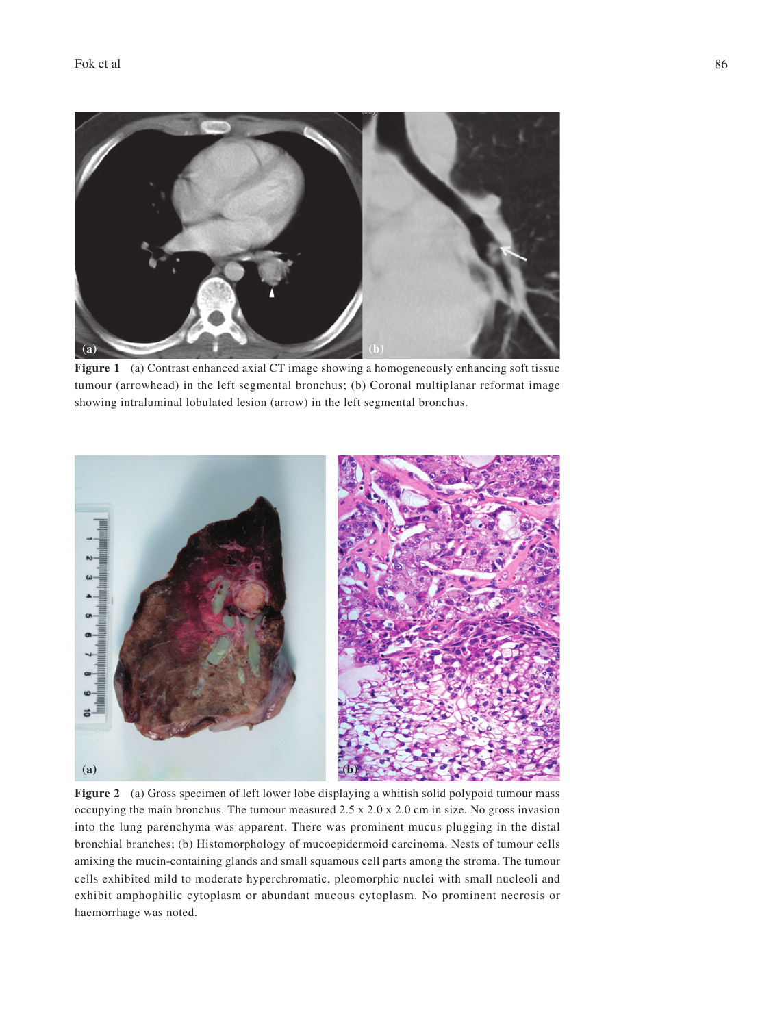

Figure 1 (a) Contrast enhanced axial CT image showing a homogeneously enhancing soft tissue tumour (arrowhead) in the left segmental bronchus; (b) Coronal multiplanar reformat image showing intraluminal lobulated lesion (arrow) in the left segmental bronchus.



**Figure 2** (a) Gross specimen of left lower lobe displaying a whitish solid polypoid tumour mass occupying the main bronchus. The tumour measured 2.5 x 2.0 x 2.0 cm in size. No gross invasion into the lung parenchyma was apparent. There was prominent mucus plugging in the distal bronchial branches; (b) Histomorphology of mucoepidermoid carcinoma. Nests of tumour cells amixing the mucin-containing glands and small squamous cell parts among the stroma. The tumour cells exhibited mild to moderate hyperchromatic, pleomorphic nuclei with small nucleoli and exhibit amphophilic cytoplasm or abundant mucous cytoplasm. No prominent necrosis or haemorrhage was noted.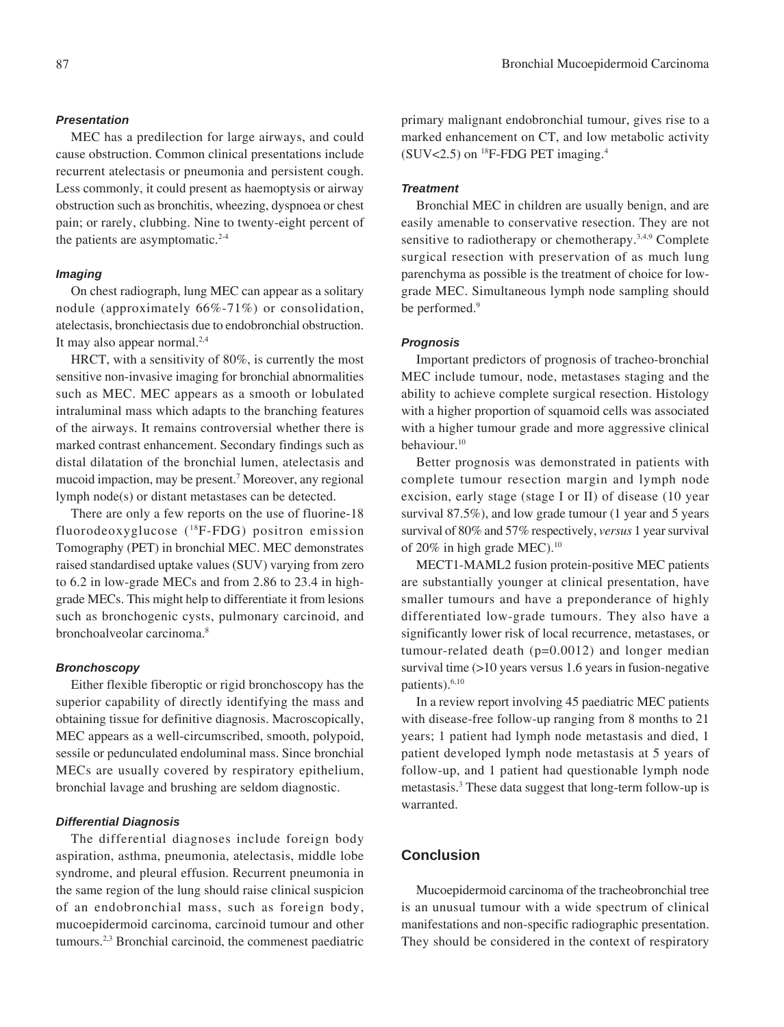#### 87 Bronchial Mucoepidermoid Carcinoma

#### *Presentation*

MEC has a predilection for large airways, and could cause obstruction. Common clinical presentations include recurrent atelectasis or pneumonia and persistent cough. Less commonly, it could present as haemoptysis or airway obstruction such as bronchitis, wheezing, dyspnoea or chest pain; or rarely, clubbing. Nine to twenty-eight percent of the patients are asymptomatic. $2-4$ 

#### *Imaging*

On chest radiograph, lung MEC can appear as a solitary nodule (approximately 66%-71%) or consolidation, atelectasis, bronchiectasis due to endobronchial obstruction. It may also appear normal. $2,4$ 

HRCT, with a sensitivity of 80%, is currently the most sensitive non-invasive imaging for bronchial abnormalities such as MEC. MEC appears as a smooth or lobulated intraluminal mass which adapts to the branching features of the airways. It remains controversial whether there is marked contrast enhancement. Secondary findings such as distal dilatation of the bronchial lumen, atelectasis and mucoid impaction, may be present.7 Moreover, any regional lymph node(s) or distant metastases can be detected.

There are only a few reports on the use of fluorine-18 fluorodeoxyglucose  $(^{18}F-FDG)$  positron emission Tomography (PET) in bronchial MEC. MEC demonstrates raised standardised uptake values (SUV) varying from zero to 6.2 in low-grade MECs and from 2.86 to 23.4 in highgrade MECs. This might help to differentiate it from lesions such as bronchogenic cysts, pulmonary carcinoid, and bronchoalveolar carcinoma.<sup>8</sup>

#### *Bronchoscopy*

Either flexible fiberoptic or rigid bronchoscopy has the superior capability of directly identifying the mass and obtaining tissue for definitive diagnosis. Macroscopically, MEC appears as a well-circumscribed, smooth, polypoid, sessile or pedunculated endoluminal mass. Since bronchial MECs are usually covered by respiratory epithelium, bronchial lavage and brushing are seldom diagnostic.

#### *Differential Diagnosis*

The differential diagnoses include foreign body aspiration, asthma, pneumonia, atelectasis, middle lobe syndrome, and pleural effusion. Recurrent pneumonia in the same region of the lung should raise clinical suspicion of an endobronchial mass, such as foreign body, mucoepidermoid carcinoma, carcinoid tumour and other tumours.2,3 Bronchial carcinoid, the commenest paediatric

primary malignant endobronchial tumour, gives rise to a marked enhancement on CT, and low metabolic activity (SUV<2.5) on  $^{18}$ F-FDG PET imaging.<sup>4</sup>

#### *Treatment*

Bronchial MEC in children are usually benign, and are easily amenable to conservative resection. They are not sensitive to radiotherapy or chemotherapy.<sup>3,4,9</sup> Complete surgical resection with preservation of as much lung parenchyma as possible is the treatment of choice for lowgrade MEC. Simultaneous lymph node sampling should be performed.<sup>9</sup>

#### *Prognosis*

Important predictors of prognosis of tracheo-bronchial MEC include tumour, node, metastases staging and the ability to achieve complete surgical resection. Histology with a higher proportion of squamoid cells was associated with a higher tumour grade and more aggressive clinical behaviour.10

Better prognosis was demonstrated in patients with complete tumour resection margin and lymph node excision, early stage (stage I or II) of disease (10 year survival 87.5%), and low grade tumour (1 year and 5 years survival of 80% and 57% respectively, *versus* 1 year survival of 20% in high grade MEC).<sup>10</sup>

MECT1-MAML2 fusion protein-positive MEC patients are substantially younger at clinical presentation, have smaller tumours and have a preponderance of highly differentiated low-grade tumours. They also have a significantly lower risk of local recurrence, metastases, or tumour-related death (p=0.0012) and longer median survival time (>10 years versus 1.6 years in fusion-negative patients).6,10

In a review report involving 45 paediatric MEC patients with disease-free follow-up ranging from 8 months to 21 years; 1 patient had lymph node metastasis and died, 1 patient developed lymph node metastasis at 5 years of follow-up, and 1 patient had questionable lymph node metastasis.<sup>3</sup> These data suggest that long-term follow-up is warranted.

### **Conclusion**

Mucoepidermoid carcinoma of the tracheobronchial tree is an unusual tumour with a wide spectrum of clinical manifestations and non-specific radiographic presentation. They should be considered in the context of respiratory